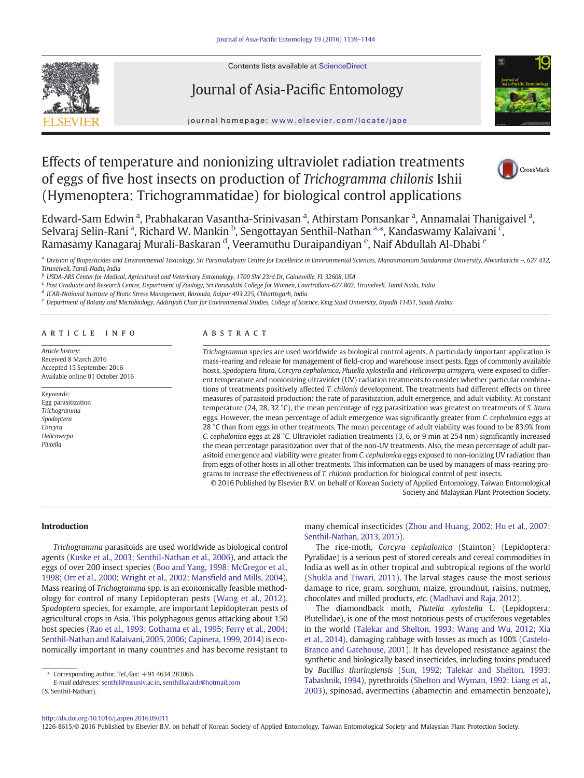

Contents lists available at ScienceDirect

# Journal of Asia-Pacific Entomology



journal homepage: <www.elsevier.com/locate/jape>

# Effects of temperature and nonionizing ultraviolet radiation treatments of eggs of five host insects on production of Trichogramma chilonis Ishii (Hymenoptera: Trichogrammatidae) for biological control applications



Edward-Sam Edwin <sup>a</sup>, Prabhakaran Vasantha-Srinivasan <sup>a</sup>, Athirstam Ponsankar <sup>a</sup>, Annamalai Thanigaivel <sup>a</sup>, , Selvaraj Selin-Rani <sup>a</sup>, Richard W. Mankin <sup>b</sup>, Sengottayan Senthil-Nathan <sup>a,</sup>\*, Kandaswamy Kalaivani <sup>c</sup> Ramasamy Kanagaraj Murali-Baskaran <sup>d</sup>, Veeramuthu Duraipandiyan <sup>e</sup>, Naif Abdullah Al-Dhabi <sup>e</sup>

<sup>a</sup> Division of Biopesticides and Environmental Toxicology, Sri Paramakalyani Centre for Excellence in Environmental Sciences, Manonmaniam Sundaranar University, Alwarkurichi –, 627 412, Tirunelveli, Tamil-Nadu, India

<sup>b</sup> USDA-ARS Center for Medical, Agricultural and Veterinary Entomology, 1700 SW 23rd Dr, Gainesville, FL 32608, USA

<sup>c</sup> Post Graduate and Research Centre, Department of Zoology, Sri Parasakthi College for Women, Courtrallam-627 802, Tirunelveli, Tamil Nadu, India

<sup>d</sup> ICAR-National Institute of Biotic Stress Management, Baronda, Raipur 493 225, Chhattisgarh, India

<sup>e</sup> Department of Botany and Microbiology, Addiriyah Chair for Environmental Studies, College of Science, King Saud University, Riyadh 11451, Saudi Arabia

#### article info abstract

Article history: Received 8 March 2016 Accepted 15 September 2016 Available online 01 October 2016

#### Keywords: Egg parasitization Trichogramma Spodoptera Corcyra Helicoverpa Plutella

Trichogramma species are used worldwide as biological control agents. A particularly important application is mass-rearing and release for management of field-crop and warehouse insect pests. Eggs of commonly available hosts, Spodoptera litura, Corcyra cephalonica, Plutella xylostella and Helicoverpa armigera, were exposed to different temperature and nonionizing ultraviolet (UV) radiation treatments to consider whether particular combinations of treatments positively affected T. chilonis development. The treatments had different effects on three measures of parasitoid production: the rate of parasitization, adult emergence, and adult viability. At constant temperature (24, 28, 32 °C), the mean percentage of egg parasitization was greatest on treatments of S. litura eggs. However, the mean percentage of adult emergence was significantly greater from C. cephalonica eggs at 28 °C than from eggs in other treatments. The mean percentage of adult viability was found to be 83.9% from C. cephalonica eggs at 28 °C. Ultraviolet radiation treatments (3, 6, or 9 min at 254 nm) significantly increased the mean percentage parasitization over that of the non-UV treatments. Also, the mean percentage of adult parasitoid emergence and viability were greater from C. cephalonica eggs exposed to non-ionizing UV radiation than from eggs of other hosts in all other treatments. This information can be used by managers of mass-rearing programs to increase the effectiveness of T. chilonis production for biological control of pest insects.

© 2016 Published by Elsevier B.V. on behalf of Korean Society of Applied Entomology, Taiwan Entomological Society and Malaysian Plant Protection Society.

Introduction

Trichogramma parasitoids are used worldwide as biological control agents ([Kuske et al., 2003; Senthil-Nathan et al., 2006\)](#page-5-0), and attack the eggs of over 200 insect species [\(Boo and Yang, 1998; McGregor et al.,](#page-4-0) [1998; Orr et al., 2000; Wright et al., 2002; Mans](#page-4-0)field and Mills, 2004). Mass rearing of Trichogramma spp. is an economically feasible methodology for control of many Lepidopteran pests [\(Wang et al., 2012](#page-5-0)). Spodoptera species, for example, are important Lepidopteran pests of agricultural crops in Asia. This polyphagous genus attacking about 150 host species ([Rao et al., 1993; Gothama et al., 1995; Ferry et al., 2004;](#page-5-0) [Senthil-Nathan and Kalaivani, 2005, 2006; Capinera, 1999, 2014\)](#page-5-0) is economically important in many countries and has become resistant to

E-mail addresses: senthil@msuniv.ac.in, [senthilkalaidr@hotmail.com](mailto:senthilkalaidr@hotmail.com) (S. Senthil-Nathan).

many chemical insecticides ([Zhou and Huang, 2002; Hu et al., 2007;](#page-5-0) [Senthil-Nathan, 2013, 2015\)](#page-5-0).

The rice-moth, Corcyra cephalonica (Stainton) (Lepidoptera: Pyralidae) is a serious pest of stored cereals and cereal commodities in India as well as in other tropical and subtropical regions of the world [\(Shukla and Tiwari, 2011](#page-5-0)). The larval stages cause the most serious damage to rice, gram, sorghum, maize, groundnut, raisins, nutmeg, chocolates and milled products, etc. [\(Madhavi and Raja, 2012](#page-5-0)).

The diamondback moth, Plutella xylostella L. (Lepidoptera: Plutellidae), is one of the most notorious pests of cruciferous vegetables in the world ([Talekar and Shelton, 1993; Wang and Wu, 2012; Xia](#page-5-0) [et al., 2014](#page-5-0)), damaging cabbage with losses as much as 100% ([Castelo-](#page-4-0)[Branco and Gatehouse, 2001\)](#page-4-0). It has developed resistance against the synthetic and biologically based insecticides, including toxins produced by Bacillus thuringiensis ([Sun, 1992; Talekar and Shelton, 1993;](#page-5-0) [Tabashnik, 1994](#page-5-0)), pyrethroids [\(Shelton and Wyman, 1992; Liang et al.,](#page-5-0) [2003\)](#page-5-0), spinosad, avermectins (abamectin and emamectin benzoate),

<http://dx.doi.org/10.1016/j.aspen.2016.09.011>

Corresponding author. Tel./fax:  $+91$  4634 283066.

<sup>1226-8615/© 2016</sup> Published by Elsevier B.V. on behalf of Korean Society of Applied Entomology, Taiwan Entomological Society and Malaysian Plant Protection Society.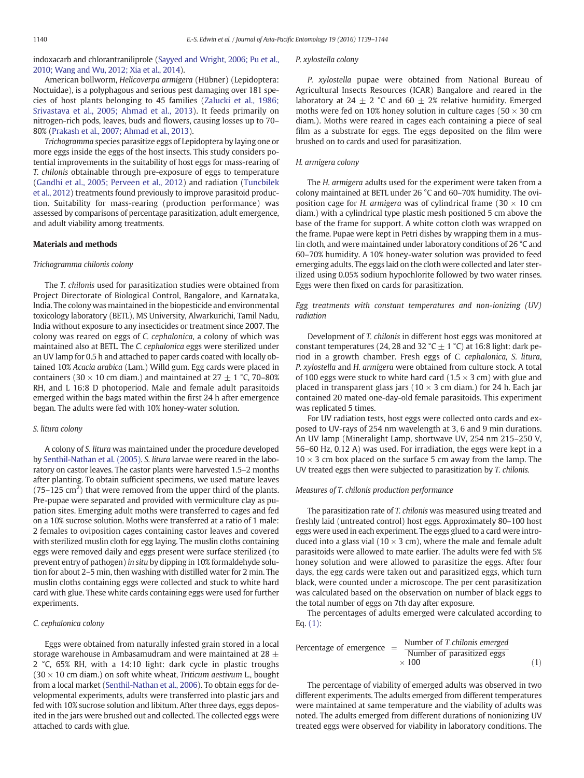<span id="page-1-0"></span>indoxacarb and chlorantraniliprole [\(Sayyed and Wright, 2006; Pu et al.,](#page-5-0) [2010; Wang and Wu, 2012; Xia et al., 2014\)](#page-5-0).

American bollworm, Helicoverpa armigera (Hübner) (Lepidoptera: Noctuidae), is a polyphagous and serious pest damaging over 181 species of host plants belonging to 45 families ([Zalucki et al., 1986;](#page-5-0) [Srivastava et al., 2005; Ahmad et al., 2013\)](#page-5-0). It feeds primarily on nitrogen-rich pods, leaves, buds and flowers, causing losses up to 70– 80% [\(Prakash et al., 2007; Ahmad et al., 2013\)](#page-5-0).

Trichogramma species parasitize eggs of Lepidoptera by laying one or more eggs inside the eggs of the host insects. This study considers potential improvements in the suitability of host eggs for mass-rearing of T. chilonis obtainable through pre-exposure of eggs to temperature [\(Gandhi et al., 2005; Perveen et al., 2012\)](#page-5-0) and radiation ([Tuncbilek](#page-5-0) [et al., 2012\)](#page-5-0) treatments found previously to improve parasitoid production. Suitability for mass-rearing (production performance) was assessed by comparisons of percentage parasitization, adult emergence, and adult viability among treatments.

## Materials and methods

### Trichogramma chilonis colony

The T. chilonis used for parasitization studies were obtained from Project Directorate of Biological Control, Bangalore, and Karnataka, India. The colony was maintained in the biopesticide and environmental toxicology laboratory (BETL), MS University, Alwarkurichi, Tamil Nadu, India without exposure to any insecticides or treatment since 2007. The colony was reared on eggs of C. cephalonica, a colony of which was maintained also at BETL. The C. cephalonica eggs were sterilized under an UV lamp for 0.5 h and attached to paper cards coated with locally obtained 10% Acacia arabica (Lam.) Willd gum. Egg cards were placed in containers (30  $\times$  10 cm diam.) and maintained at 27  $\pm$  1 °C, 70–80% RH, and L 16:8 D photoperiod. Male and female adult parasitoids emerged within the bags mated within the first 24 h after emergence began. The adults were fed with 10% honey-water solution.

# S. litura colony

A colony of S. litura was maintained under the procedure developed by [Senthil-Nathan et al. \(2005\).](#page-5-0) S. litura larvae were reared in the laboratory on castor leaves. The castor plants were harvested 1.5–2 months after planting. To obtain sufficient specimens, we used mature leaves  $(75-125 \text{ cm}^2)$  that were removed from the upper third of the plants. Pre-pupae were separated and provided with vermiculture clay as pupation sites. Emerging adult moths were transferred to cages and fed on a 10% sucrose solution. Moths were transferred at a ratio of 1 male: 2 females to oviposition cages containing castor leaves and covered with sterilized muslin cloth for egg laying. The muslin cloths containing eggs were removed daily and eggs present were surface sterilized (to prevent entry of pathogen) in situ by dipping in 10% formaldehyde solution for about 2–5 min, then washing with distilled water for 2 min. The muslin cloths containing eggs were collected and stuck to white hard card with glue. These white cards containing eggs were used for further experiments.

#### C. cephalonica colony

Eggs were obtained from naturally infested grain stored in a local storage warehouse in Ambasamudram and were maintained at 28  $\pm$ 2 °C, 65% RH, with a 14:10 light: dark cycle in plastic troughs  $(30 \times 10$  cm diam.) on soft white wheat, Triticum aestivum L., bought from a local market ([Senthil-Nathan et al., 2006](#page-5-0)). To obtain eggs for developmental experiments, adults were transferred into plastic jars and fed with 10% sucrose solution and libitum. After three days, eggs deposited in the jars were brushed out and collected. The collected eggs were attached to cards with glue.

# P. xylostella colony

P. xylostella pupae were obtained from National Bureau of Agricultural Insects Resources (ICAR) Bangalore and reared in the laboratory at 24  $\pm$  2 °C and 60  $\pm$  2% relative humidity. Emerged moths were fed on 10% honey solution in culture cages ( $50 \times 30$  cm diam.). Moths were reared in cages each containing a piece of seal film as a substrate for eggs. The eggs deposited on the film were brushed on to cards and used for parasitization.

#### H. armigera colony

The H. armigera adults used for the experiment were taken from a colony maintained at BETL under 26 °C and 60–70% humidity. The oviposition cage for H. armigera was of cylindrical frame (30  $\times$  10 cm diam.) with a cylindrical type plastic mesh positioned 5 cm above the base of the frame for support. A white cotton cloth was wrapped on the frame. Pupae were kept in Petri dishes by wrapping them in a muslin cloth, and were maintained under laboratory conditions of 26 °C and 60–70% humidity. A 10% honey-water solution was provided to feed emerging adults. The eggs laid on the cloth were collected and later sterilized using 0.05% sodium hypochlorite followed by two water rinses. Eggs were then fixed on cards for parasitization.

Egg treatments with constant temperatures and non-ionizing (UV) radiation

Development of T. chilonis in different host eggs was monitored at constant temperatures (24, 28 and 32 °C  $\pm$  1 °C) at 16:8 light: dark period in a growth chamber. Fresh eggs of C. cephalonica, S. litura, P. xylostella and H. armigera were obtained from culture stock. A total of 100 eggs were stuck to white hard card (1.5  $\times$  3 cm) with glue and placed in transparent glass jars (10  $\times$  3 cm diam.) for 24 h. Each jar contained 20 mated one-day-old female parasitoids. This experiment was replicated 5 times.

For UV radiation tests, host eggs were collected onto cards and exposed to UV-rays of 254 nm wavelength at 3, 6 and 9 min durations. An UV lamp (Mineralight Lamp, shortwave UV, 254 nm 215–250 V, 56–60 Hz, 0.12 A) was used. For irradiation, the eggs were kept in a  $10 \times 3$  cm box placed on the surface 5 cm away from the lamp. The UV treated eggs then were subjected to parasitization by T. chilonis.

## Measures of T. chilonis production performance

The parasitization rate of T. chilonis was measured using treated and freshly laid (untreated control) host eggs. Approximately 80–100 host eggs were used in each experiment. The eggs glued to a card were introduced into a glass vial (10  $\times$  3 cm), where the male and female adult parasitoids were allowed to mate earlier. The adults were fed with 5% honey solution and were allowed to parasitize the eggs. After four days, the egg cards were taken out and parasitized eggs, which turn black, were counted under a microscope. The per cent parasitization was calculated based on the observation on number of black eggs to the total number of eggs on 7th day after exposure.

The percentages of adults emerged were calculated according to Eq.  $(1)$ :

Percentage of emergence 
$$
= \frac{\text{Number of } T \text{.chiionis emerged}}{\text{Number of parasitized eggs}} \times 100
$$
 (1)

The percentage of viability of emerged adults was observed in two different experiments. The adults emerged from different temperatures were maintained at same temperature and the viability of adults was noted. The adults emerged from different durations of nonionizing UV treated eggs were observed for viability in laboratory conditions. The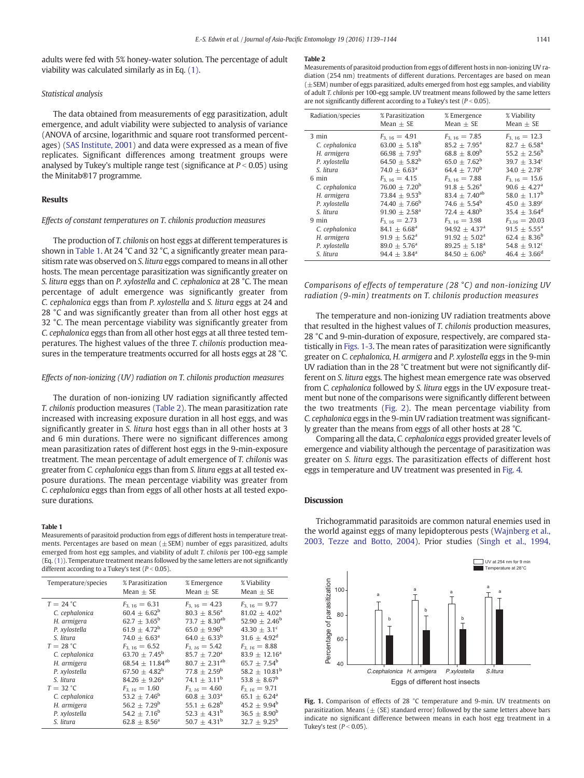adults were fed with 5% honey-water solution. The percentage of adult viability was calculated similarly as in Eq. [\(1\).](#page-1-0)

# Statistical analysis

The data obtained from measurements of egg parasitization, adult emergence, and adult viability were subjected to analysis of variance (ANOVA of arcsine, logarithmic and square root transformed percentages) [\(SAS Institute, 2001](#page-5-0)) and data were expressed as a mean of five replicates. Significant differences among treatment groups were analysed by Tukey's multiple range test (significance at  $P < 0.05$ ) using the Minitab®17 programme.

# Results

### Effects of constant temperatures on T. chilonis production measures

The production of T. chilonis on host eggs at different temperatures is shown in Table 1. At 24 °C and 32 °C, a significantly greater mean parasitism rate was observed on S. litura eggs compared to means in all other hosts. The mean percentage parasitization was significantly greater on S. litura eggs than on P. xylostella and C. cephalonica at 28 °C. The mean percentage of adult emergence was significantly greater from C. cephalonica eggs than from P. xylostella and S. litura eggs at 24 and 28 °C and was significantly greater than from all other host eggs at 32 °C. The mean percentage viability was significantly greater from C. cephalonica eggs than from all other host eggs at all three tested temperatures. The highest values of the three T. chilonis production measures in the temperature treatments occurred for all hosts eggs at 28 °C.

#### Effects of non-ionizing (UV) radiation on T. chilonis production measures

The duration of non-ionizing UV radiation significantly affected T. chilonis production measures (Table 2). The mean parasitization rate increased with increasing exposure duration in all host eggs, and was significantly greater in S. litura host eggs than in all other hosts at 3 and 6 min durations. There were no significant differences among mean parasitization rates of different host eggs in the 9-min-exposure treatment. The mean percentage of adult emergence of T. chilonis was greater from C. cephalonica eggs than from S. litura eggs at all tested exposure durations. The mean percentage viability was greater from C. cephalonica eggs than from eggs of all other hosts at all tested exposure durations.

#### Table 1

Measurements of parasitoid production from eggs of different hosts in temperature treatments. Percentages are based on mean  $(\pm$  SEM) number of eggs parasitized, adults emerged from host egg samples, and viability of adult T. chilonis per 100-egg sample (Eq. [\(1\)](#page-1-0)). Temperature treatment means followed by the same letters are not significantly different according to a Tukey's test ( $P < 0.05$ ).

| Temperature/species | % Parasitization              | % Emergence                   | % Viability                |
|---------------------|-------------------------------|-------------------------------|----------------------------|
|                     | $Mean + SE$                   | $Mean + SE$                   | $Mean + SE$                |
| $T = 24 °C$         | $F_{3,16} = 6.31$             | $F_{3,16} = 4.23$             | $F_{3,16} = 9.77$          |
| C. cephalonica      | $60.4 + 6.62^b$               | $80.3 + 8.56^{\circ}$         | $81.02 + 4.02^a$           |
| H. armigera         | $62.7 + 3.65^{\rm b}$         | 73.7 $\pm$ 8.30 <sup>ab</sup> | $52.90 + 2.46^b$           |
| P. xylostella       | $61.9 + 4.72^b$               | $65.0 + 9.96^{\rm b}$         | $43.30 + 3.1^{\circ}$      |
| S. litura           | $74.0 + 6.63$ <sup>a</sup>    | $64.0 + 6.33^{\rm b}$         | $31.6 + 4.92^d$            |
| $T = 28 °C$         | $F_{3,16} = 6.52$             | $F_{3,16} = 5.42$             | $F_{3,16} = 8.88$          |
| C. cephalonica      | $63.70 + 7.45^{\rm b}$        | $85.7 + 7.20a$                | $83.9 + 12.16^a$           |
| H. armigera         | $68.54 + 11.84^{ab}$          | $80.7 + 2.31^{ab}$            | $65.7 + 7.54^b$            |
| P. xylostella       | 67.50 $\pm$ 4.82 <sup>b</sup> | $77.8 + 2.59^b$               | $58.2 + 10.81^b$           |
| S. litura           | $84.26 + 9.26^{\circ}$        | $74.1 + 3.11^b$               | $53.8 + 8.67^b$            |
| $T = 32 °C$         | $F_{3,16} = 1.60$             | $F_{3,16} = 4.60$             | $F_{3,16} = 9.71$          |
| C. cephalonica      | $53.2 + 7.46^b$               | $60.8 + 3.03a$                | $65.1 + 6.24$ <sup>a</sup> |
| H. armigera         | 56.2 $\pm 7.29^{\rm b}$       | $55.1 + 6.28^{\rm b}$         | $45.2 + 9.94^{\rm b}$      |
| P. xylostella       | 54.2 $\pm 7.16^{\rm b}$       | $52.3 + 4.31^b$               | $36.5 + 8.90^{\rm b}$      |
| S. litura           | $62.8 + 8.56^{\circ}$         | $50.7 + 4.31^b$               | $32.7 + 9.25^{\rm b}$      |

#### Table 2

| Radiation/species | % Parasitization           | % Emergence             | % Viability                  |
|-------------------|----------------------------|-------------------------|------------------------------|
|                   | $Mean + SE$                | $Mean + SE$             | $Mean + SE$                  |
| 3 min             | $F_{3,16} = 4.91$          | $F_{3,16} = 7.85$       | $F_{3,16} = 12.3$            |
| C. cephalonica    | $63.00 + 5.18^b$           | $85.2 + 7.95^{\circ}$   | $82.7 + 6.58^{\circ}$        |
| H. armigera       | $66.98 + 7.93^{\rm b}$     | $68.8 + 8.09^{\rm b}$   | $55.2 + 2.56^b$              |
| P. xylostella     | $64.50 + 5.82^b$           | $65.0 + 7.62^b$         | $39.7 + 3.34^c$              |
| S. litura         | $74.0 + 6.63$ <sup>a</sup> | 64.4 $\pm 7.70^{\rm b}$ | $34.0 + 2.78^c$              |
| 6 min             | $F_{3,16} = 4.15$          | $F_{3,16} = 7.88$       | $F_{3,16} = 15.6$            |
| C. cephalonica    | $76.00 + 7.20^b$           | $91.8 + 5.26^a$         | $90.6 + 4.27$ <sup>a</sup>   |
| H. armigera       | $73.84 + 9.53^{\rm b}$     | $83.4 + 7.40^{ab}$      | $58.0 + 1.17^b$              |
| P. xylostella     | $74.40 + 7.66^b$           | $74.6 + 5.54^b$         | $45.0 + 3.89$ <sup>c</sup>   |
| S. litura         | $91.90 + 2.58^{\text{a}}$  | $72.4 \pm 4.80^b$       | $35.4 + 3.64^d$              |
| 9 min             | $F_{3,16} = 2.73$          | $F_{3,16} = 3.98$       | $F_{3,16} = 20.03$           |
| C. cephalonica    | $84.1 + 6.68^{\circ}$      | $94.92 + 4.37a$         | $91.5 + 5.55^{\circ}$        |
| H. armigera       | $91.9 + 5.62^{\text{a}}$   | $91.92 + 5.02^a$        | $62.4 + 8.36^b$              |
| P. xylostella     | $89.0 + 5.76$ <sup>a</sup> | $89.25 + 5.18^a$        | 54.8 $\pm$ 9.12 <sup>c</sup> |
| S. litura         | $94.4 + 3.84$ <sup>a</sup> | $84.50 + 6.06^{\rm b}$  | $46.4 + 3.66^d$              |

Comparisons of effects of temperature (28 °C) and non-ionizing UV radiation (9-min) treatments on T. chilonis production measures

The temperature and non-ionizing UV radiation treatments above that resulted in the highest values of T. chilonis production measures, 28 °C and 9-min-duration of exposure, respectively, are compared statistically in Figs. 1-3. The mean rates of parasitization were significantly greater on C. cephalonica, H. armigera and P. xylostella eggs in the 9-min UV radiation than in the 28 °C treatment but were not significantly different on S. litura eggs. The highest mean emergence rate was observed from C. cephalonica followed by S. litura eggs in the UV exposure treatment but none of the comparisons were significantly different between the two treatments ([Fig. 2\)](#page-3-0). The mean percentage viability from C. cephalonica eggs in the 9-min UV radiation treatment was significantly greater than the means from eggs of all other hosts at 28 °C.

Comparing all the data, C. cephalonica eggs provided greater levels of emergence and viability although the percentage of parasitization was greater on S. litura eggs. The parasitization effects of different host eggs in temperature and UV treatment was presented in [Fig. 4](#page-4-0).

Trichogrammatid parasitoids are common natural enemies used in the world against eggs of many lepidopterous pests [\(Wajnberg et al.,](#page-5-0) [2003, Tezze and Botto, 2004](#page-5-0)). Prior studies ([Singh et al., 1994,](#page-5-0)

# Discussion



Fig. 1. Comparison of effects of 28 °C temperature and 9-min. UV treatments on parasitization. Means ( $\pm$  (SE) standard error) followed by the same letters above bars indicate no significant difference between means in each host egg treatment in a Tukey's test ( $P < 0.05$ ).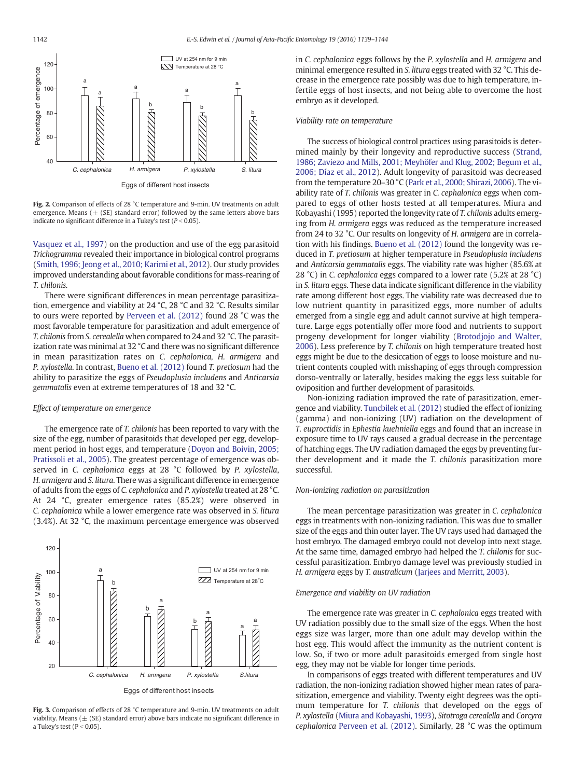<span id="page-3-0"></span>

Fig. 2. Comparison of effects of 28 °C temperature and 9-min. UV treatments on adult emergence. Means ( $\pm$  (SE) standard error) followed by the same letters above bars indicate no significant difference in a Tukey's test ( $P < 0.05$ ).

[Vasquez et al., 1997\)](#page-5-0) on the production and use of the egg parasitoid Trichogramma revealed their importance in biological control programs [\(Smith, 1996; Jeong et al., 2010; Karimi et al., 2012\)](#page-5-0). Our study provides improved understanding about favorable conditions for mass-rearing of T. chilonis.

There were significant differences in mean percentage parasitization, emergence and viability at 24 °C, 28 °C and 32 °C. Results similar to ours were reported by [Perveen et al. \(2012\)](#page-5-0) found 28 °C was the most favorable temperature for parasitization and adult emergence of T. chilonis from S. cerealella when compared to 24 and 32 °C. The parasitization rate was minimal at 32 °C and there was no significant difference in mean parasitization rates on C. cephalonica, H. armigera and P. xylostella. In contrast, [Bueno et al. \(2012\)](#page-4-0) found T. pretiosum had the ability to parasitize the eggs of Pseudoplusia includens and Anticarsia gemmatalis even at extreme temperatures of 18 and 32 °C.

### Effect of temperature on emergence

The emergence rate of T. chilonis has been reported to vary with the size of the egg, number of parasitoids that developed per egg, development period in host eggs, and temperature [\(Doyon and Boivin, 2005;](#page-4-0) [Pratissoli et al., 2005](#page-4-0)). The greatest percentage of emergence was observed in C. cephalonica eggs at 28 °C followed by P. xylostella, H. armigera and S. litura. There was a significant difference in emergence of adults from the eggs of C. cephalonica and P. xylostella treated at 28 °C. At 24 °C, greater emergence rates (85.2%) were observed in C. cephalonica while a lower emergence rate was observed in S. litura (3.4%). At 32 °C, the maximum percentage emergence was observed



Fig. 3. Comparison of effects of 28 °C temperature and 9-min. UV treatments on adult viability. Means ( $\pm$  (SE) standard error) above bars indicate no significant difference in a Tukey's test ( $P < 0.05$ ).

in C. cephalonica eggs follows by the P. xylostella and H. armigera and minimal emergence resulted in S. litura eggs treated with 32 °C. This decrease in the emergence rate possibly was due to high temperature, infertile eggs of host insects, and not being able to overcome the host embryo as it developed.

# Viability rate on temperature

The success of biological control practices using parasitoids is determined mainly by their longevity and reproductive success ([Strand,](#page-5-0) [1986; Zaviezo and Mills, 2001; Meyhöfer and Klug, 2002; Begum et al.,](#page-5-0) [2006; Díaz et al., 2012\)](#page-5-0). Adult longevity of parasitoid was decreased from the temperature 20–30 °C ([Park et al., 2000; Shirazi, 2006\)](#page-5-0). The viability rate of T. chilonis was greater in C. cephalonica eggs when compared to eggs of other hosts tested at all temperatures. Miura and Kobayashi (1995) reported the longevity rate of T. chilonis adults emerging from H. armigera eggs was reduced as the temperature increased from 24 to 32 °C. Our results on longevity of H. armigera are in correlation with his findings. [Bueno et al. \(2012\)](#page-4-0) found the longevity was reduced in T. pretiosum at higher temperature in Pseudoplusia includens and Anticarsia gemmatalis eggs. The viability rate was higher (85.6% at 28 °C) in C. cephalonica eggs compared to a lower rate (5.2% at 28 °C) in S. litura eggs. These data indicate significant difference in the viability rate among different host eggs. The viability rate was decreased due to low nutrient quantity in parasitized eggs, more number of adults emerged from a single egg and adult cannot survive at high temperature. Large eggs potentially offer more food and nutrients to support progeny development for longer viability ([Brotodjojo and Walter,](#page-4-0) [2006\)](#page-4-0). Less preference by T. chilonis on high temperature treated host eggs might be due to the desiccation of eggs to loose moisture and nutrient contents coupled with misshaping of eggs through compression dorso-ventrally or laterally, besides making the eggs less suitable for oviposition and further development of parasitoids.

Non-ionizing radiation improved the rate of parasitization, emergence and viability. [Tuncbilek et al. \(2012\)](#page-5-0) studied the effect of ionizing (gamma) and non-ionizing (UV) radiation on the development of T. euproctidis in Ephestia kuehniella eggs and found that an increase in exposure time to UV rays caused a gradual decrease in the percentage of hatching eggs. The UV radiation damaged the eggs by preventing further development and it made the T. chilonis parasitization more successful.

# Non-ionizing radiation on parasitization

The mean percentage parasitization was greater in C. cephalonica eggs in treatments with non-ionizing radiation. This was due to smaller size of the eggs and thin outer layer. The UV rays used had damaged the host embryo. The damaged embryo could not develop into next stage. At the same time, damaged embryo had helped the T. chilonis for successful parasitization. Embryo damage level was previously studied in H. armigera eggs by T. australicum [\(Jarjees and Merritt, 2003](#page-5-0)).

# Emergence and viability on UV radiation

The emergence rate was greater in C. cephalonica eggs treated with UV radiation possibly due to the small size of the eggs. When the host eggs size was larger, more than one adult may develop within the host egg. This would affect the immunity as the nutrient content is low. So, if two or more adult parasitoids emerged from single host egg, they may not be viable for longer time periods.

In comparisons of eggs treated with different temperatures and UV radiation, the non-ionizing radiation showed higher mean rates of parasitization, emergence and viability. Twenty eight degrees was the optimum temperature for T. chilonis that developed on the eggs of P. xylostella ([Miura and Kobayashi, 1993\)](#page-5-0), Sitotroga cerealella and Corcyra cephalonica [Perveen et al. \(2012\).](#page-5-0) Similarly, 28 °C was the optimum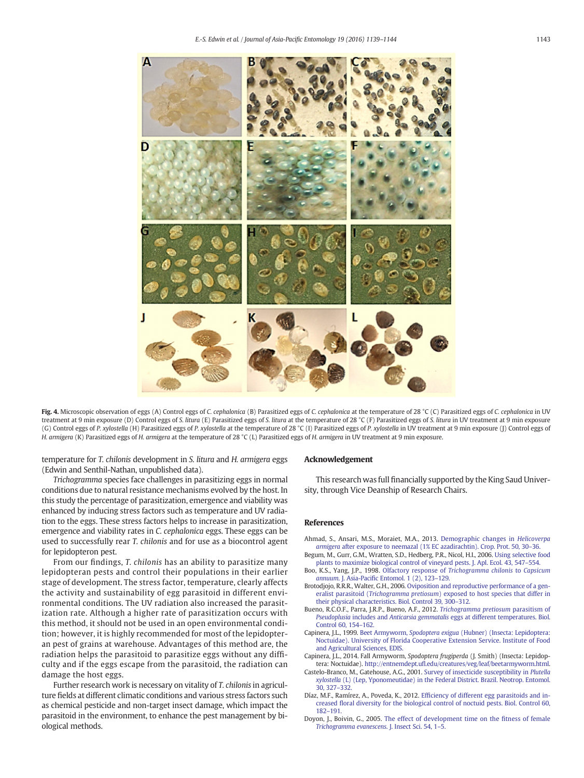<span id="page-4-0"></span>

Fig. 4. Microscopic observation of eggs (A) Control eggs of C. cephalonica (B) Parasitized eggs of C. cephalonica at the temperature of 28 °C (C) Parasitized eggs of C. cephalonica in UV treatment at 9 min exposure (D) Control eggs of S. litura (E) Parasitized eggs of S. litura at the temperature of 28 °C (F) Parasitized eggs of S. litura in UV treatment at 9 min exposure (G) Control eggs of P. xylostella (H) Parasitized eggs of P. xylostella at the temperature of 28 °C (I) Parasitized eggs of P. xylostella in UV treatment at 9 min exposure (I) Control eggs of H. armigera (K) Parasitized eggs of H. armigera at the temperature of 28 °C (L) Parasitized eggs of H. armigera in UV treatment at 9 min exposure.

temperature for T. chilonis development in S. litura and H. armigera eggs (Edwin and Senthil-Nathan, unpublished data).

Trichogramma species face challenges in parasitizing eggs in normal conditions due to natural resistance mechanisms evolved by the host. In this study the percentage of parasitization, emergence and viability was enhanced by inducing stress factors such as temperature and UV radiation to the eggs. These stress factors helps to increase in parasitization, emergence and viability rates in C. cephalonica eggs. These eggs can be used to successfully rear T. chilonis and for use as a biocontrol agent for lepidopteron pest.

From our findings, T. chilonis has an ability to parasitize many lepidopteran pests and control their populations in their earlier stage of development. The stress factor, temperature, clearly affects the activity and sustainability of egg parasitoid in different environmental conditions. The UV radiation also increased the parasitization rate. Although a higher rate of parasitization occurs with this method, it should not be used in an open environmental condition; however, it is highly recommended for most of the lepidopteran pest of grains at warehouse. Advantages of this method are, the radiation helps the parasitoid to parasitize eggs without any difficulty and if the eggs escape from the parasitoid, the radiation can damage the host eggs.

Further research work is necessary on vitality of T. chilonis in agriculture fields at different climatic conditions and various stress factors such as chemical pesticide and non-target insect damage, which impact the parasitoid in the environment, to enhance the pest management by biological methods.

#### Acknowledgement

This research was full financially supported by the King Saud University, through Vice Deanship of Research Chairs.

#### References

- Ahmad, S., Ansari, M.S., Moraiet, M.A., 2013. [Demographic changes in](http://refhub.elsevier.com/S1226-8615(16)30104-2/rf0010) Helicoverpa armigera [after exposure to neemazal \(1% EC azadirachtin\). Crop. Prot. 50, 30](http://refhub.elsevier.com/S1226-8615(16)30104-2/rf0010)–36.
- Begum, M., Gurr, G.M., Wratten, S.D., Hedberg, P.R., Nicol, H.I., 2006. [Using selective food](http://refhub.elsevier.com/S1226-8615(16)30104-2/rf0020) [plants to maximize biological control of vineyard pests. J. Apl. Ecol. 43, 547](http://refhub.elsevier.com/S1226-8615(16)30104-2/rf0020)–554.
- Boo, K.S., Yang, J.P., 1998. Olfactory response of [Trichogramma chilonis](http://refhub.elsevier.com/S1226-8615(16)30104-2/rf0025) to Capsicum annuum. J. Asia-Pacifi[c Entomol. 1 \(2\), 123](http://refhub.elsevier.com/S1226-8615(16)30104-2/rf0025)–129.
- Brotodjojo, R.R.R., Walter, G.H., 2006. [Oviposition and reproductive performance of a gen](http://refhub.elsevier.com/S1226-8615(16)30104-2/rf0030)eralist parasitoid (Trichogramma pretiosum[\) exposed to host species that differ in](http://refhub.elsevier.com/S1226-8615(16)30104-2/rf0030) [their physical characteristics. Biol. Control 39, 300](http://refhub.elsevier.com/S1226-8615(16)30104-2/rf0030)–312.
- Bueno, R.C.O.F., Parra, J.R.P., Bueno, A.F., 2012. [Trichogramma pretiosum](http://refhub.elsevier.com/S1226-8615(16)30104-2/rf0035) parasitism of Pseudoplusia includes and Anticarsia gemmatalis [eggs at different temperatures. Biol.](http://refhub.elsevier.com/S1226-8615(16)30104-2/rf0035) [Control 60, 154](http://refhub.elsevier.com/S1226-8615(16)30104-2/rf0035)–162.
- Capinera, J.L., 1999. Beet Armyworm, Spodoptera exigua [\(Hubner\) \(Insecta: Lepidoptera:](http://refhub.elsevier.com/S1226-8615(16)30104-2/rf0040) [Noctuidae\). University of Florida Cooperative Extension Service. Institute of Food](http://refhub.elsevier.com/S1226-8615(16)30104-2/rf0040) [and Agricultural Sciences, EDIS](http://refhub.elsevier.com/S1226-8615(16)30104-2/rf0040).
- Capinera, J.L., 2014. Fall Armyworm, Spodoptera frugiperda (J. Smith) (Insecta: Lepidoptera: Noctuidae). http://entnemdept.ufl[.edu/creatures/veg/leaf/beetarmyworm.html](http://entnemdept.ufl.edu/creatures/veg/leaf/beetarmyworm.html).
- Castelo-Branco, M., Gatehouse, A.G., 2001. [Survey of insecticide susceptibility in](http://refhub.elsevier.com/S1226-8615(16)30104-2/rf0050) Plutella xylostella [\(L\) \(Lep, Yponomeutidae\) in the Federal District. Brazil. Neotrop. Entomol.](http://refhub.elsevier.com/S1226-8615(16)30104-2/rf0050) [30, 327](http://refhub.elsevier.com/S1226-8615(16)30104-2/rf0050)–332.
- Díaz, M.F., Ramírez, A., Poveda, K., 2012. Effi[ciency of different egg parasitoids and in](http://refhub.elsevier.com/S1226-8615(16)30104-2/rf0060)creased fl[oral diversity for the biological control of noctuid pests. Biol. Control 60,](http://refhub.elsevier.com/S1226-8615(16)30104-2/rf0060) [182](http://refhub.elsevier.com/S1226-8615(16)30104-2/rf0060)–191.
- Doyon, J., Boivin, G., 2005. [The effect of development time on the](http://refhub.elsevier.com/S1226-8615(16)30104-2/rf0065) fitness of female [Trichogramma evanescens](http://refhub.elsevier.com/S1226-8615(16)30104-2/rf0065). J. Insect Sci. 54, 1–5.